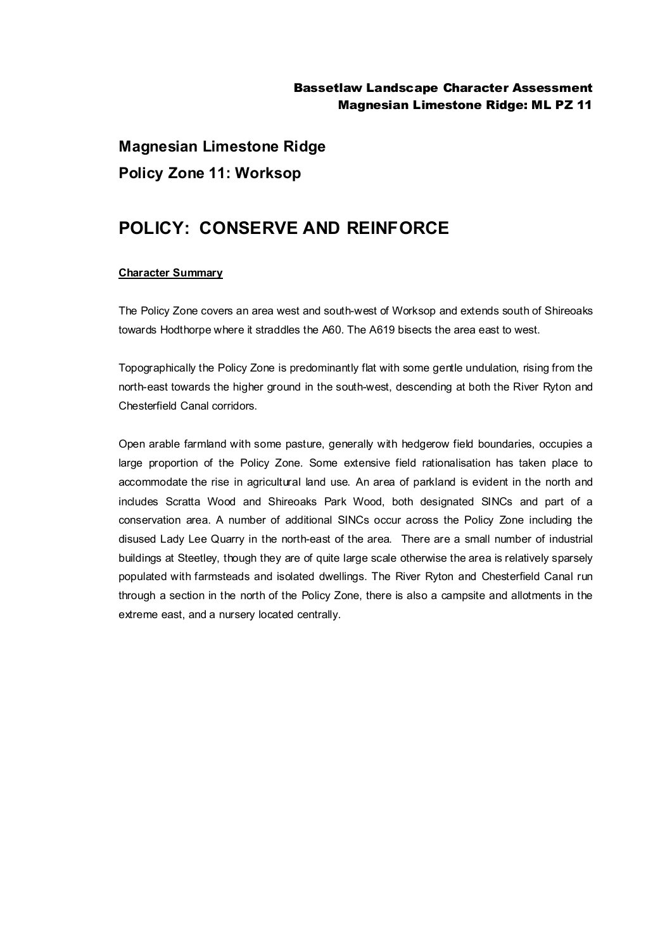**Magnesian Limestone Ridge Policy Zone 11: Worksop**

## **POLICY: CONSERVE AND REINFORCE**

## **Character Summary**

The Policy Zone covers an area west and south-west of Worksop and extends south of Shireoaks towards Hodthorpe where it straddles the A60. The A619 bisects the area east to west.

Topographically the Policy Zone is predominantly flat with some gentle undulation, rising from the north-east towards the higher ground in the south-west, descending at both the River Ryton and Chesterfield Canal corridors.

Open arable farmland with some pasture, generally with hedgerow field boundaries, occupies a large proportion of the Policy Zone. Some extensive field rationalisation has taken place to accommodate the rise in agricultural land use. An area of parkland is evident in the north and includes Scratta Wood and Shireoaks Park Wood, both designated SINCs and part of a conservation area. A number of additional SINCs occur across the Policy Zone including the disused Lady Lee Quarry in the north-east of the area. There are a small number of industrial buildings at Steetley, though they are of quite large scale otherwise the area is relatively sparsely populated with farmsteads and isolated dwellings. The River Ryton and Chesterfield Canal run through a section in the north of the Policy Zone, there is also a campsite and allotments in the extreme east, and a nursery located centrally.